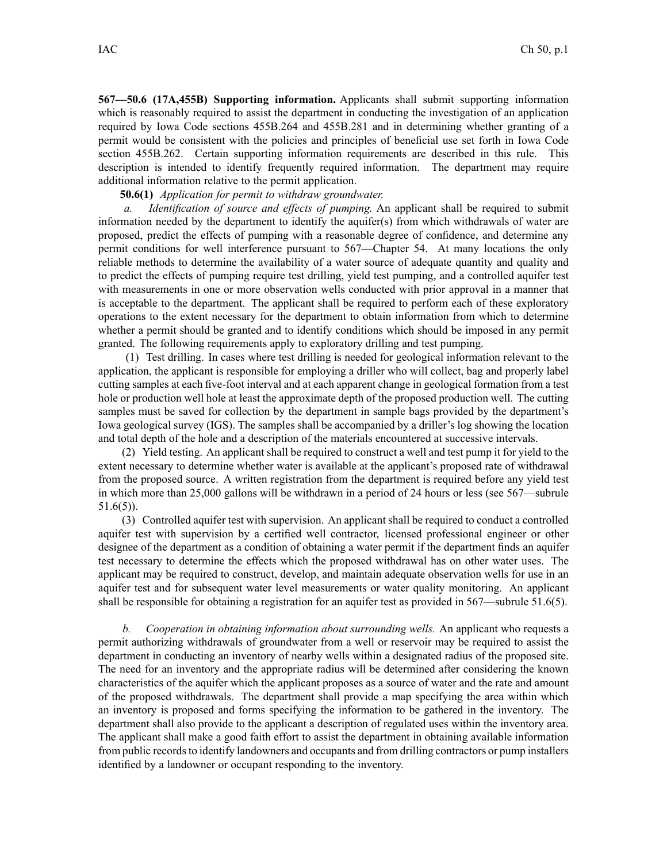**567—50.6 (17A,455B) Supporting information.** Applicants shall submit supporting information which is reasonably required to assist the department in conducting the investigation of an application required by Iowa Code sections [455B.264](https://www.legis.iowa.gov/docs/ico/section/455B.264.pdf) and [455B.281](https://www.legis.iowa.gov/docs/ico/section/455B.281.pdf) and in determining whether granting of <sup>a</sup> permit would be consistent with the policies and principles of beneficial use set forth in Iowa Code section [455B.262](https://www.legis.iowa.gov/docs/ico/section/455B.262.pdf). Certain supporting information requirements are described in this rule. This description is intended to identify frequently required information. The department may require additional information relative to the permit application.

**50.6(1)** *Application for permit to withdraw groundwater.*

*a. Identification of source and effects of pumping.* An applicant shall be required to submit information needed by the department to identify the aquifer(s) from which withdrawals of water are proposed, predict the effects of pumping with <sup>a</sup> reasonable degree of confidence, and determine any permit conditions for well interference pursuan<sup>t</sup> to 567—Chapter 54. At many locations the only reliable methods to determine the availability of <sup>a</sup> water source of adequate quantity and quality and to predict the effects of pumping require test drilling, yield test pumping, and <sup>a</sup> controlled aquifer test with measurements in one or more observation wells conducted with prior approval in <sup>a</sup> manner that is acceptable to the department. The applicant shall be required to perform each of these exploratory operations to the extent necessary for the department to obtain information from which to determine whether <sup>a</sup> permit should be granted and to identify conditions which should be imposed in any permit granted. The following requirements apply to exploratory drilling and test pumping.

(1) Test drilling. In cases where test drilling is needed for geological information relevant to the application, the applicant is responsible for employing <sup>a</sup> driller who will collect, bag and properly label cutting samples at each five-foot interval and at each apparen<sup>t</sup> change in geological formation from <sup>a</sup> test hole or production well hole at least the approximate depth of the proposed production well. The cutting samples must be saved for collection by the department in sample bags provided by the department's Iowa geological survey (IGS). The samples shall be accompanied by <sup>a</sup> driller's log showing the location and total depth of the hole and <sup>a</sup> description of the materials encountered at successive intervals.

(2) Yield testing. An applicant shall be required to construct <sup>a</sup> well and test pump it for yield to the extent necessary to determine whether water is available at the applicant's proposed rate of withdrawal from the proposed source. A written registration from the department is required before any yield test in which more than 25,000 gallons will be withdrawn in <sup>a</sup> period of 24 hours or less (see 567—subrule 51.6(5)).

(3) Controlled aquifer test with supervision. An applicant shall be required to conduct <sup>a</sup> controlled aquifer test with supervision by <sup>a</sup> certified well contractor, licensed professional engineer or other designee of the department as <sup>a</sup> condition of obtaining <sup>a</sup> water permit if the department finds an aquifer test necessary to determine the effects which the proposed withdrawal has on other water uses. The applicant may be required to construct, develop, and maintain adequate observation wells for use in an aquifer test and for subsequent water level measurements or water quality monitoring. An applicant shall be responsible for obtaining <sup>a</sup> registration for an aquifer test as provided in 567—subrule 51.6(5).

*b. Cooperation in obtaining information about surrounding wells.* An applicant who requests <sup>a</sup> permit authorizing withdrawals of groundwater from <sup>a</sup> well or reservoir may be required to assist the department in conducting an inventory of nearby wells within <sup>a</sup> designated radius of the proposed site. The need for an inventory and the appropriate radius will be determined after considering the known characteristics of the aquifer which the applicant proposes as <sup>a</sup> source of water and the rate and amount of the proposed withdrawals. The department shall provide <sup>a</sup> map specifying the area within which an inventory is proposed and forms specifying the information to be gathered in the inventory. The department shall also provide to the applicant <sup>a</sup> description of regulated uses within the inventory area. The applicant shall make <sup>a</sup> good faith effort to assist the department in obtaining available information from public records to identify landowners and occupants and from drilling contractors or pump installers identified by <sup>a</sup> landowner or occupan<sup>t</sup> responding to the inventory.